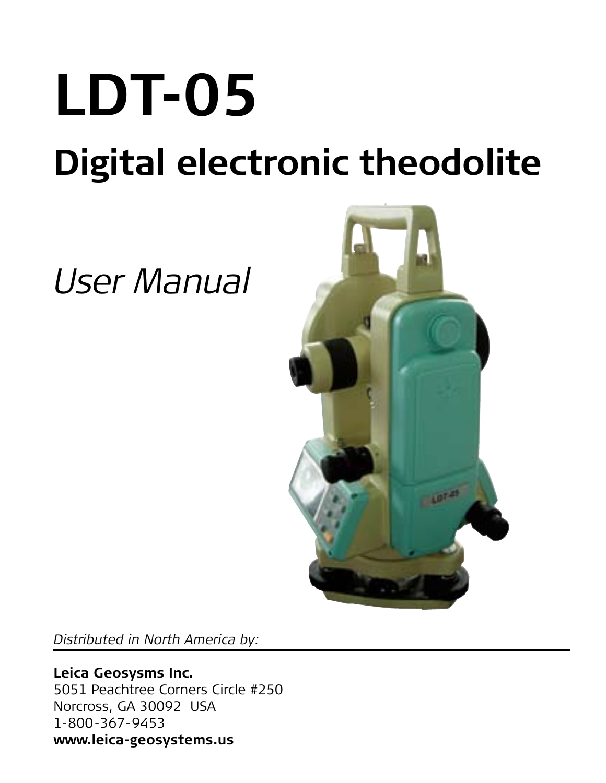# **LDT-05 Digital electronic theodolite**

## *User Manual*



*Distributed in North America by:*

**Leica Geosysms Inc.** 5051 Peachtree Corners Circle #250 Norcross, GA 30092 USA 1-800-367-9453 **www.leica-geosystems.us**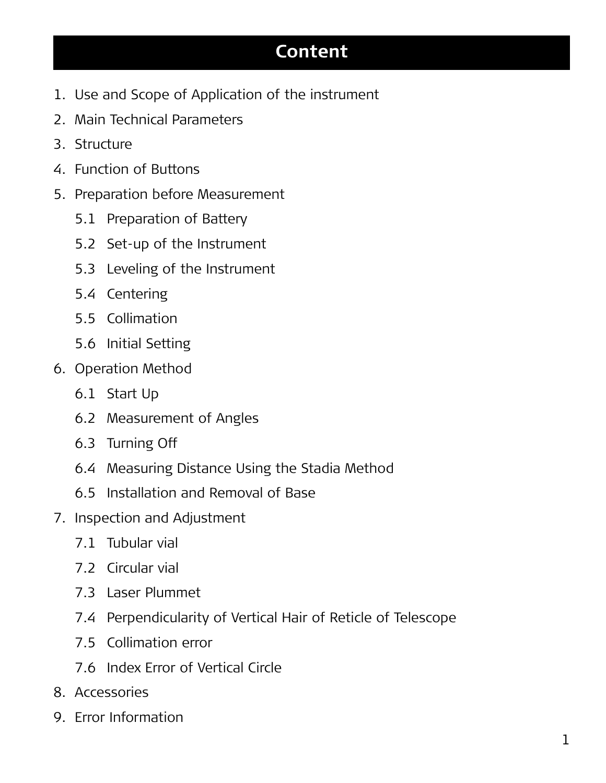#### **Content**

- 1. Use and Scope of Application of the instrument
- 2. Main Technical Parameters
- 3. Structure
- 4. Function of Buttons
- 5. Preparation before Measurement
	- 5.1 Preparation of Battery
	- 5.2 Set-up of the Instrument
	- 5.3 Leveling of the Instrument
	- 5.4 Centering
	- 5.5 Collimation
	- 5.6 Initial Setting
- 6. Operation Method
	- 6.1 Start Up
	- 6.2 Measurement of Angles
	- 6.3 Turning Off
	- 6.4 Measuring Distance Using the Stadia Method
	- 6.5 Installation and Removal of Base
- 7. Inspection and Adjustment
	- 7.1 Tubular vial
	- 7.2 Circular vial
	- 7.3 Laser Plummet
	- 7.4 Perpendicularity of Vertical Hair of Reticle of Telescope
	- 7.5 Collimation error
	- 7.6 Index Error of Vertical Circle
- 8. Accessories
- 9. Error Information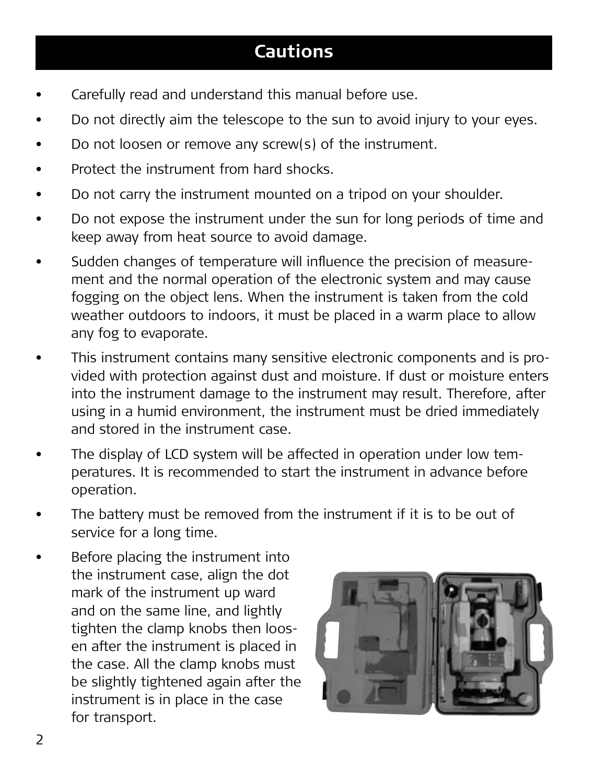#### **Cautions**

- Carefully read and understand this manual before use.
- Do not directly aim the telescope to the sun to avoid injury to your eyes.
- Do not loosen or remove any screw(s) of the instrument.
- Protect the instrument from hard shocks.
- Do not carry the instrument mounted on a tripod on your shoulder.
- • Do not expose the instrument under the sun for long periods of time and keep away from heat source to avoid damage.
- • Sudden changes of temperature will influence the precision of measurement and the normal operation of the electronic system and may cause fogging on the object lens. When the instrument is taken from the cold weather outdoors to indoors, it must be placed in a warm place to allow any fog to evaporate.
- This instrument contains many sensitive electronic components and is provided with protection against dust and moisture. If dust or moisture enters into the instrument damage to the instrument may result. Therefore, after using in a humid environment, the instrument must be dried immediately and stored in the instrument case.
- The display of LCD system will be affected in operation under low temperatures. It is recommended to start the instrument in advance before operation.
- The battery must be removed from the instrument if it is to be out of service for a long time.
- Before placing the instrument into the instrument case, align the dot mark of the instrument up ward and on the same line, and lightly tighten the clamp knobs then loosen after the instrument is placed in the case. All the clamp knobs must be slightly tightened again after the instrument is in place in the case for transport.

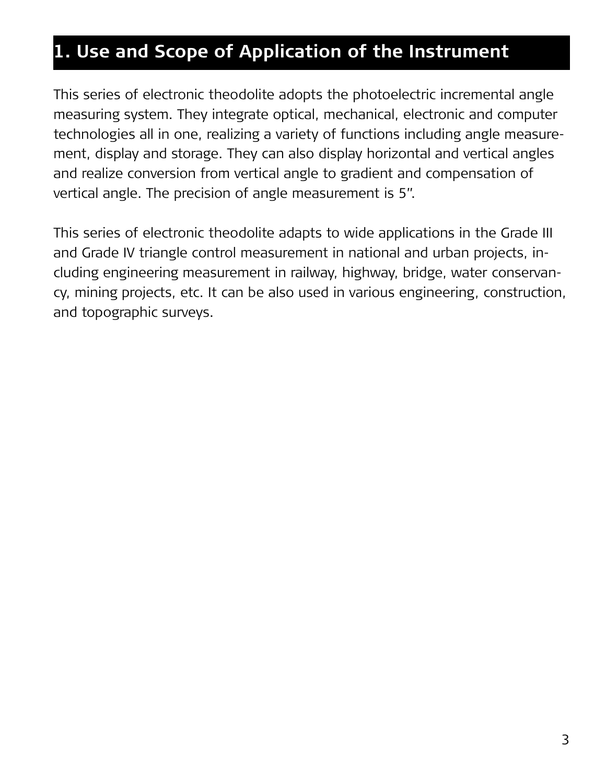## **1. Use and Scope of Application of the Instrument**

This series of electronic theodolite adopts the photoelectric incremental angle measuring system. They integrate optical, mechanical, electronic and computer technologies all in one, realizing a variety of functions including angle measurement, display and storage. They can also display horizontal and vertical angles and realize conversion from vertical angle to gradient and compensation of vertical angle. The precision of angle measurement is 5".

This series of electronic theodolite adapts to wide applications in the Grade III and Grade IV triangle control measurement in national and urban projects, including engineering measurement in railway, highway, bridge, water conservancy, mining projects, etc. It can be also used in various engineering, construction, and topographic surveys.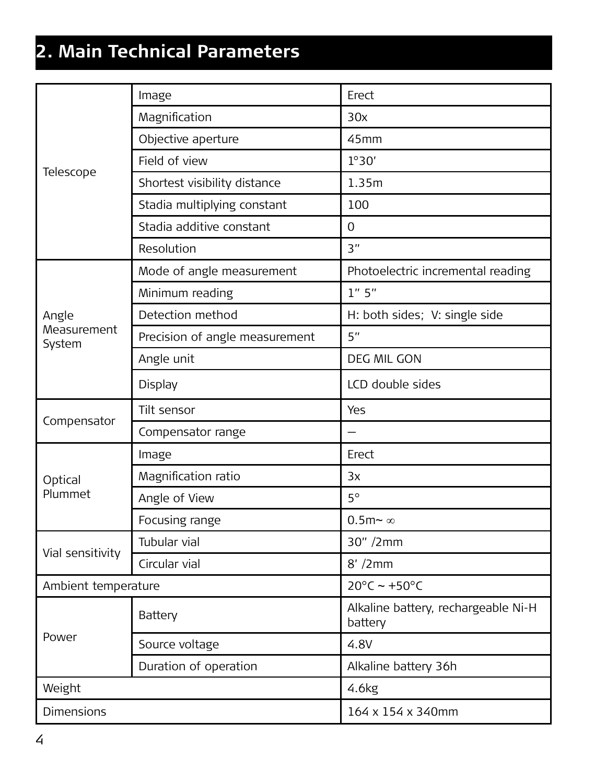## **2. Main Technical Parameters**

| Telescope             | Image                          | Erect                                          |
|-----------------------|--------------------------------|------------------------------------------------|
|                       | Magnification                  | 30x                                            |
|                       | Objective aperture             | 45mm                                           |
|                       | Field of view                  | 1°30'                                          |
|                       | Shortest visibility distance   | 1.35m                                          |
|                       | Stadia multiplying constant    | 100                                            |
|                       | Stadia additive constant       | $\Omega$                                       |
|                       | Resolution                     | 3"                                             |
|                       | Mode of angle measurement      | Photoelectric incremental reading              |
|                       | Minimum reading                | 1'' 5''                                        |
| Angle                 | Detection method               | H: both sides; V: single side                  |
| Measurement<br>System | Precision of angle measurement | 5"                                             |
|                       | Angle unit                     | DEG MIL GON                                    |
|                       | Display                        | LCD double sides                               |
|                       | Tilt sensor                    | Yes                                            |
| Compensator           | Compensator range              |                                                |
|                       | Image                          | Frect                                          |
| Optical<br>Plummet    | Magnification ratio            | 3x                                             |
|                       | Angle of View                  | 50                                             |
|                       | Focusing range                 | $0.5m \sim \infty$                             |
| Vial sensitivity      | <b>Tubular vial</b>            | 30" /2mm                                       |
|                       | Circular vial                  | $8'$ /2 $mm$                                   |
| Ambient temperature   |                                | $20^{\circ}$ C ~ +50°C                         |
| Power                 | Battery                        | Alkaline battery, rechargeable Ni-H<br>battery |
|                       | Source voltage                 | 4.8V                                           |
|                       | Duration of operation          | Alkaline battery 36h                           |
| Weight                |                                | 4.6kg                                          |
| <b>Dimensions</b>     |                                | 164 x 154 x 340mm                              |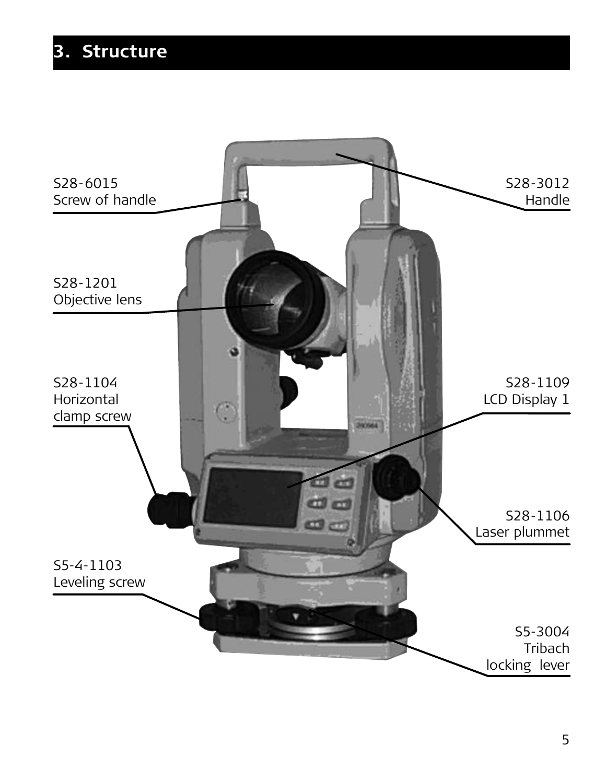## **3. Structure**

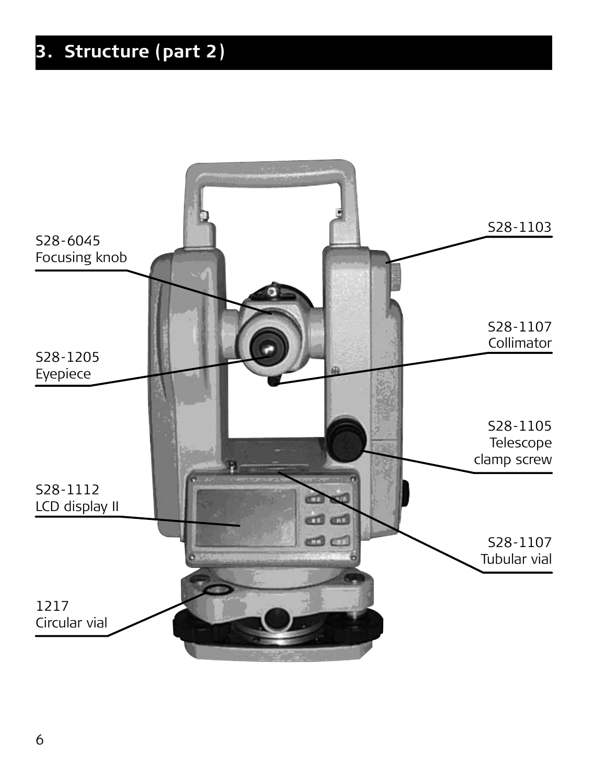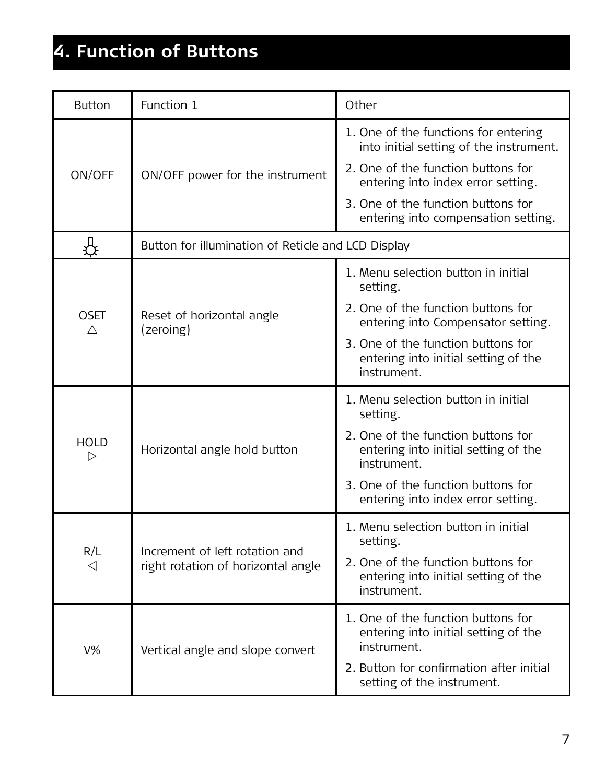## **4. Function of Buttons**

| <b>Button</b> | Function 1                                                           | Other                                                                                     |  |
|---------------|----------------------------------------------------------------------|-------------------------------------------------------------------------------------------|--|
| ON/OFF        | ON/OFF power for the instrument                                      | 1. One of the functions for entering<br>into initial setting of the instrument.           |  |
|               |                                                                      | 2. One of the function buttons for<br>entering into index error setting.                  |  |
|               |                                                                      | 3. One of the function buttons for<br>entering into compensation setting.                 |  |
| ₩             | Button for illumination of Reticle and LCD Display                   |                                                                                           |  |
| OSFT<br>л     | Reset of horizontal angle<br>(zeroing)                               | 1. Menu selection button in initial<br>setting.                                           |  |
|               |                                                                      | 2. One of the function buttons for<br>entering into Compensator setting.                  |  |
|               |                                                                      | 3. One of the function buttons for<br>entering into initial setting of the<br>instrument. |  |
| HOLD<br>⊳     | Horizontal angle hold button                                         | 1. Menu selection button in initial<br>setting.                                           |  |
|               |                                                                      | 2. One of the function buttons for<br>entering into initial setting of the<br>instrument. |  |
|               |                                                                      | 3. One of the function buttons for<br>entering into index error setting.                  |  |
| R/L<br>◁      | Increment of left rotation and<br>right rotation of horizontal angle | 1. Menu selection button in initial<br>setting.                                           |  |
|               |                                                                      | 2. One of the function buttons for<br>entering into initial setting of the<br>instrument. |  |
| $V\%$         | Vertical angle and slope convert                                     | 1. One of the function buttons for<br>entering into initial setting of the<br>instrument. |  |
|               |                                                                      | 2. Button for confirmation after initial<br>setting of the instrument.                    |  |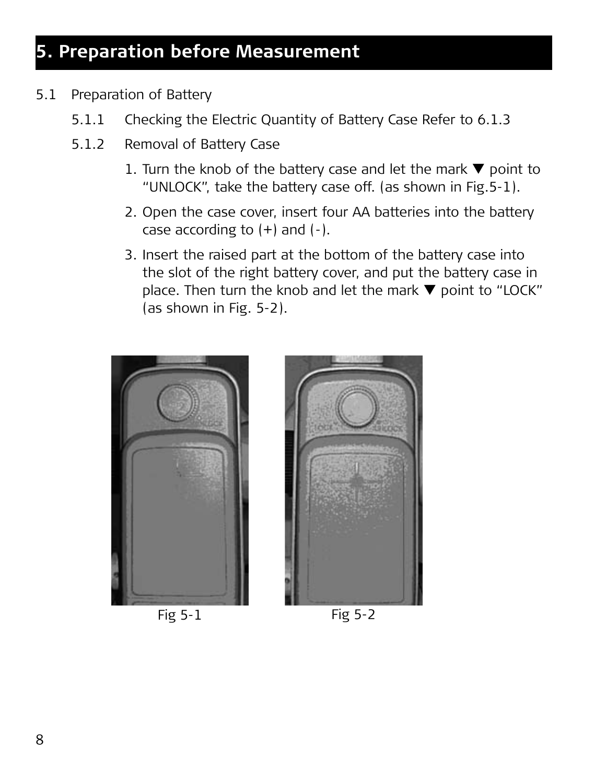- 5.1 Preparation of Battery
	- 5.1.1 Checking the Electric Quantity of Battery Case Refer to 6.1.3
	- 5.1.2 Removal of Battery Case
		- 1. Turn the knob of the battery case and let the mark  $\nabla$  point to "UNLOCK", take the battery case off. (as shown in Fig.5-1).
		- 2. Open the case cover, insert four AA batteries into the battery case according to  $(+)$  and  $(-)$ .
		- 3. Insert the raised part at the bottom of the battery case into the slot of the right battery cover, and put the battery case in place. Then turn the knob and let the mark  $\nabla$  point to "LOCK" (as shown in Fig. 5-2).





Fig 5-1 Fig 5-2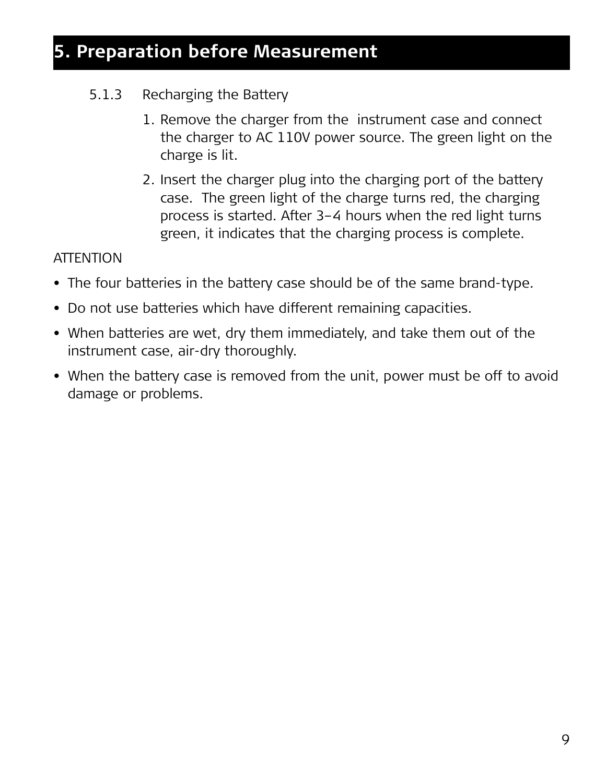#### 5.1.3 Recharging the Battery

- 1. Remove the charger from the instrument case and connect the charger to AC 110V power source. The green light on the charge is lit.
- 2. Insert the charger plug into the charging port of the battery case. The green light of the charge turns red, the charging process is started. After 3–4 hours when the red light turns green, it indicates that the charging process is complete.

#### **ATTENTION**

- The four batteries in the battery case should be of the same brand-type.
- Do not use batteries which have different remaining capacities.
- When batteries are wet, dry them immediately, and take them out of the instrument case, air-dry thoroughly.
- When the battery case is removed from the unit, power must be off to avoid damage or problems.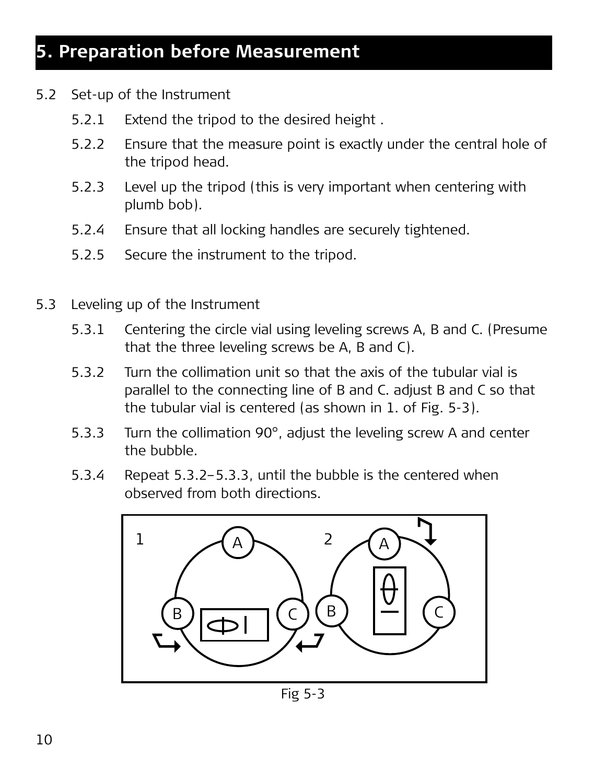- 5.2 Set-up of the Instrument
	- 5.2.1 Extend the tripod to the desired height .
	- 5.2.2 Ensure that the measure point is exactly under the central hole of the tripod head.
	- 5.2.3 Level up the tripod (this is very important when centering with plumb bob).
	- 5.2.4 Ensure that all locking handles are securely tightened.
	- 5.2.5 Secure the instrument to the tripod.
- 5.3 Leveling up of the Instrument
	- 5.3.1 Centering the circle vial using leveling screws A, B and C. (Presume that the three leveling screws be A, B and C).
	- 5.3.2 Turn the collimation unit so that the axis of the tubular vial is parallel to the connecting line of B and C. adjust B and C so that the tubular vial is centered (as shown in 1. of Fig. 5-3).
	- 5.3.3 Turn the collimation 90°, adjust the leveling screw A and center the bubble.
	- 5.3.4 Repeat 5.3.2–5.3.3, until the bubble is the centered when observed from both directions.



Fig 5-3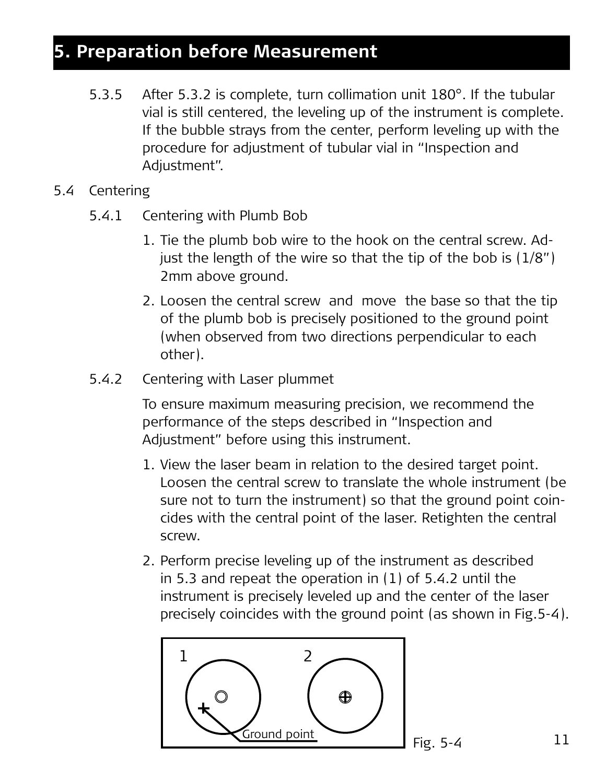- 5.3.5 After 5.3.2 is complete, turn collimation unit 180°. If the tubular vial is still centered, the leveling up of the instrument is complete. If the bubble strays from the center, perform leveling up with the procedure for adjustment of tubular vial in "Inspection and Adjustment".
- 5.4 Centering
	- 5.4.1 Centering with Plumb Bob
		- 1. Tie the plumb bob wire to the hook on the central screw. Adjust the length of the wire so that the tip of the bob is  $(1/8")$ 2mm above ground.
		- 2. Loosen the central screw and move the base so that the tip of the plumb bob is precisely positioned to the ground point (when observed from two directions perpendicular to each other).
	- 5.4.2 Centering with Laser plummet

 To ensure maximum measuring precision, we recommend the performance of the steps described in "Inspection and Adjustment" before using this instrument.

- 1. View the laser beam in relation to the desired target point. Loosen the central screw to translate the whole instrument (be sure not to turn the instrument) so that the ground point coincides with the central point of the laser. Retighten the central screw.
- 2. Perform precise leveling up of the instrument as described in 5.3 and repeat the operation in (1) of 5.4.2 until the instrument is precisely leveled up and the center of the laser precisely coincides with the ground point (as shown in Fig.5-4).



11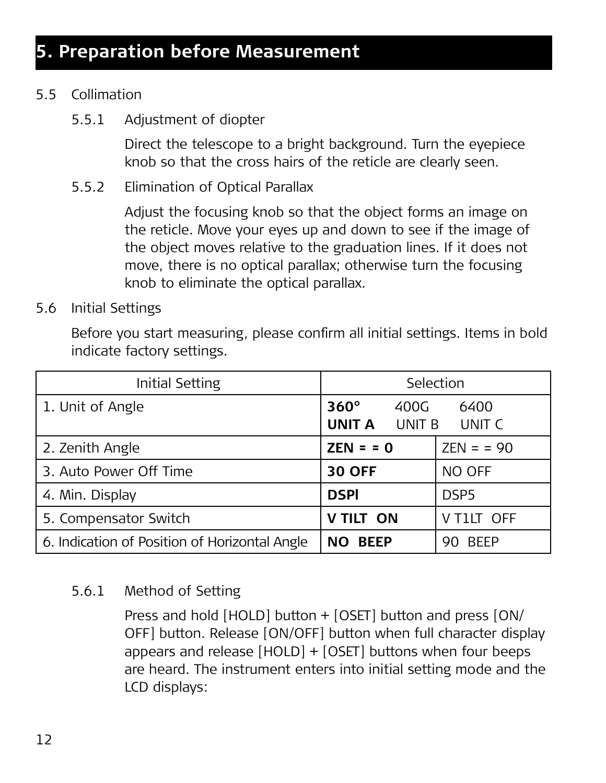#### 5.5 Collimation

5.5.1 Adjustment of diopter

 Direct the telescope to a bright background. Turn the eyepiece knob so that the cross hairs of the reticle are clearly seen.

5.5.2 Elimination of Optical Parallax

 Adjust the focusing knob so that the object forms an image on the reticle. Move your eyes up and down to see if the image of the object moves relative to the graduation lines. If it does not move, there is no optical parallax; otherwise turn the focusing knob to eliminate the optical parallax.

5.6 Initial Settings

Before you start measuring, please confirm all initial settings. Items in bold indicate factory settings.

| Initial Setting                               | Selection                                      |                    |
|-----------------------------------------------|------------------------------------------------|--------------------|
| 1. Unit of Angle                              | $360^\circ$<br>400G<br><b>UNIT A</b><br>UNIT B | 6400<br>UNIT C     |
| 2. Zenith Angle                               | $ZEN = 0$                                      | $ZEN = 90$         |
| 3. Auto Power Off Time                        | <b>30 OFF</b>                                  | NO OFF             |
| 4. Min. Display                               | <b>DSPI</b>                                    | DSP <sub>5</sub>   |
| 5. Compensator Switch                         | V TILT ON                                      | V T1LT OFF         |
| 6. Indication of Position of Horizontal Angle | <b>BEEP</b><br>NO.                             | <b>BEEP</b><br>90. |

#### 5.6.1 Method of Setting

 Press and hold [HOLD] button + [OSET] button and press [ON/ OFF] button. Release [ON/OFF] button when full character display appears and release [HOLD] + [OSET] buttons when four beeps are heard. The instrument enters into initial setting mode and the LCD displays: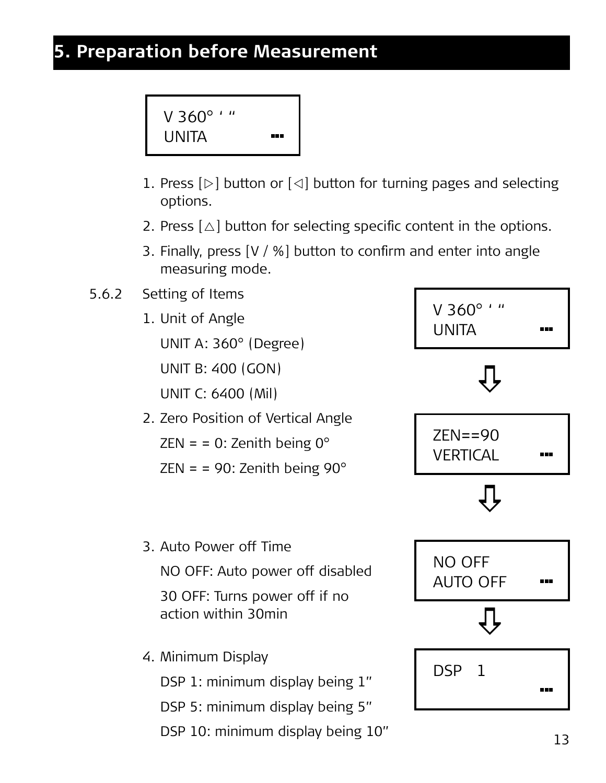V 360° ' " UNITA ---

- 1. Press  $[\triangleright]$  button or  $[\triangle]$  button for turning pages and selecting options.
- 2. Press  $\lceil \Delta \rceil$  button for selecting specific content in the options.
- 3. Finally, press [V / %] button to confirm and enter into angle measuring mode.
- 5.6.2 Setting of Items
	- 1. Unit of Angle UNIT A: 360° (Degree) UNIT B: 400 (GON) UNIT C: 6400 (Mil)
	- 2. Zero Position of Vertical Angle ZEN =  $= 0$ : Zenith being 0 $^{\circ}$ 
		- ZEN =  $= 90$ : Zenith being  $90^\circ$



4. Minimum Display

DSP 1: minimum display being 1"

DSP 5: minimum display being 5"

DSP 10: minimum display being 10"

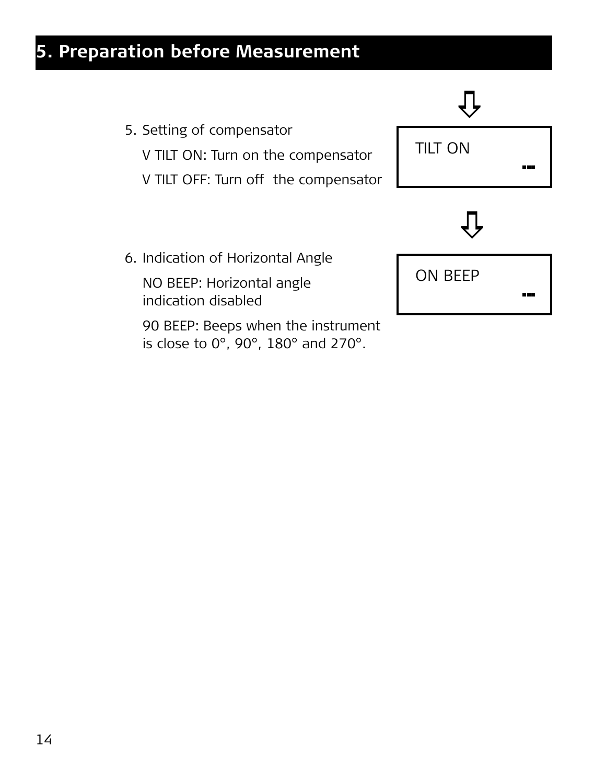

 90 BEEP: Beeps when the instrument is close to 0°, 90°, 180° and 270°.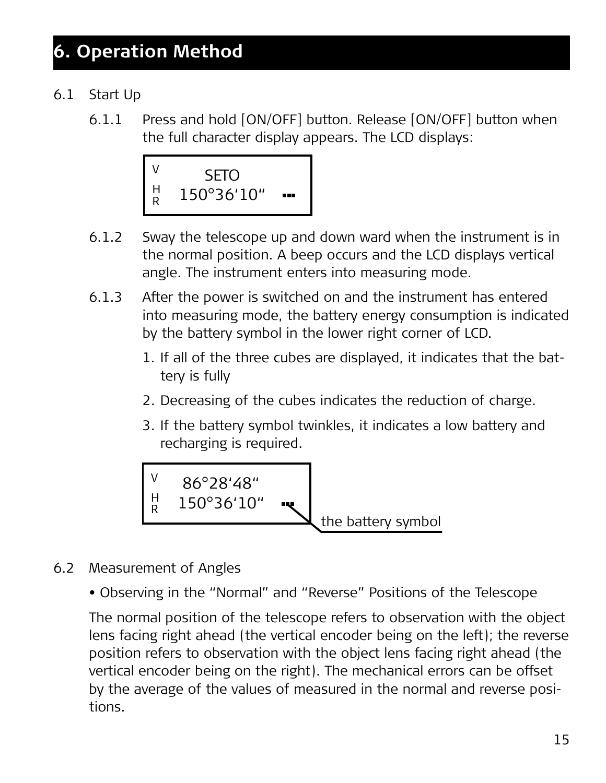#### 6.1 Start Up

6.1.1 Press and hold [ON/OFF] button. Release [ON/OFF] button when the full character display appears. The LCD displays:



- 6.1.2 Sway the telescope up and down ward when the instrument is in the normal position. A beep occurs and the LCD displays vertical angle. The instrument enters into measuring mode.
- 6.1.3 After the power is switched on and the instrument has entered into measuring mode, the battery energy consumption is indicated by the battery symbol in the lower right corner of LCD.
	- 1. If all of the three cubes are displayed, it indicates that the battery is fully
	- 2. Decreasing of the cubes indicates the reduction of charge.
	- 3. If the battery symbol twinkles, it indicates a low battery and recharging is required.



- 6.2 Measurement of Angles
	- Observing in the "Normal" and "Reverse" Positions of the Telescope

The normal position of the telescope refers to observation with the object lens facing right ahead (the vertical encoder being on the left); the reverse position refers to observation with the object lens facing right ahead (the vertical encoder being on the right). The mechanical errors can be offset by the average of the values of measured in the normal and reverse positions.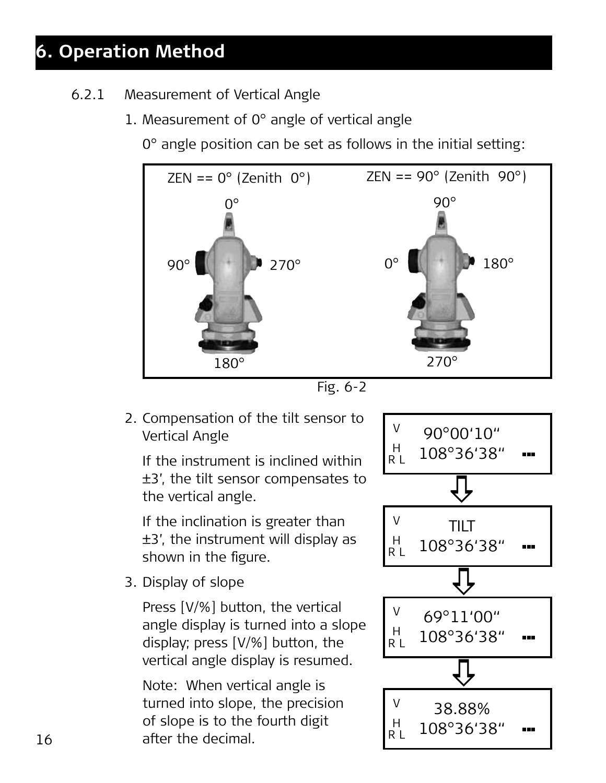- 6.2.1 Measurement of Vertical Angle
	- 1. Measurement of 0° angle of vertical angle

0° angle position can be set as follows in the initial setting:



Fig. 6-2

 2. Compensation of the tilt sensor to Vertical Angle

 If the instrument is inclined within ±3', the tilt sensor compensates to the vertical angle.

 If the inclination is greater than ±3', the instrument will display as shown in the figure.

3. Display of slope

 Press [V/%] button, the vertical angle display is turned into a slope display; press [V/%] button, the vertical angle display is resumed.

 Note: When vertical angle is turned into slope, the precision of slope is to the fourth digit after the decimal.

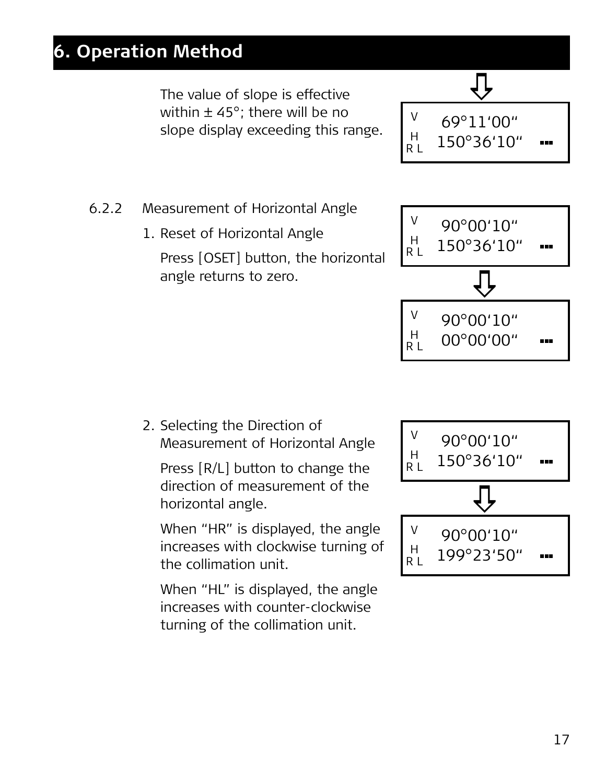The value of slope is effective within ± 45°; there will be no slope display exceeding this range.

a V 69°11'00" H 150°36'10" ... R L

90°00'10"

- 6.2.2 Measurement of Horizontal Angle
	- 1. Reset of Horizontal Angle Press [OSET] button, the horizontal angle returns to zero.



V

 2. Selecting the Direction of Measurement of Horizontal Angle

 Press [R/L] button to change the direction of measurement of the horizontal angle.

 When "HR" is displayed, the angle increases with clockwise turning of the collimation unit.

 When "HL" is displayed, the angle increases with counter-clockwise turning of the collimation unit.

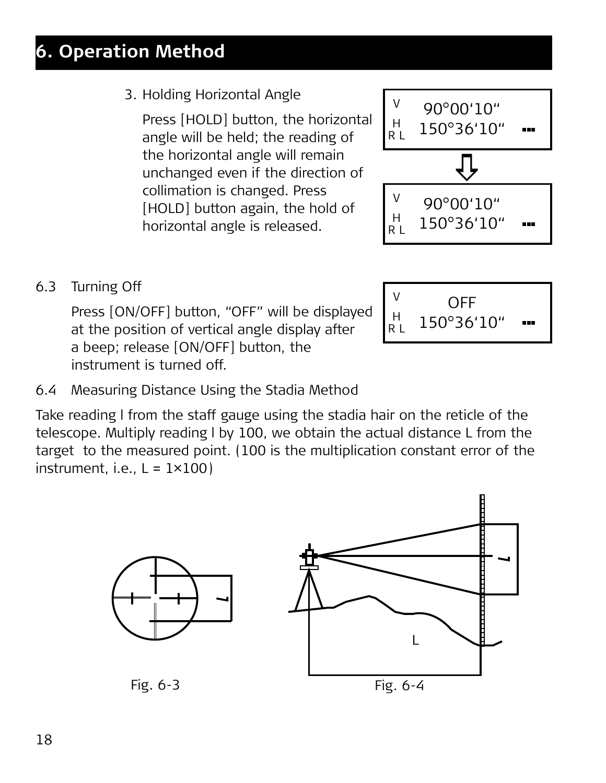3. Holding Horizontal Angle

 Press [HOLD] button, the horizontal angle will be held; the reading of the horizontal angle will remain unchanged even if the direction of collimation is changed. Press [HOLD] button again, the hold of horizontal angle is released.

90°00'10" 150°36'10" V H R L  $\hat{\mathbb{G}}$ 90°00'10" 150°36'10" V H R L

6.3 Turning Off

Press [ON/OFF] button, "OFF" will be disp at the position of vertical angle display after a beep; release [ON/OFF] button, the instrument is turned off.

6.4 Measuring Distance Using the Stadia Method

Take reading l from the staff gauge using the stadia hair on the reticle of the telescope. Multiply reading l by 100, we obtain the actual distance L from the target to the measured point. (100 is the multiplication constant error of the  $instrument.$  i.e.,  $L = 1 \times 100$ 



| be displayed<br>splav after | OFF<br>150°36'10" |
|-----------------------------|-------------------|
|                             |                   |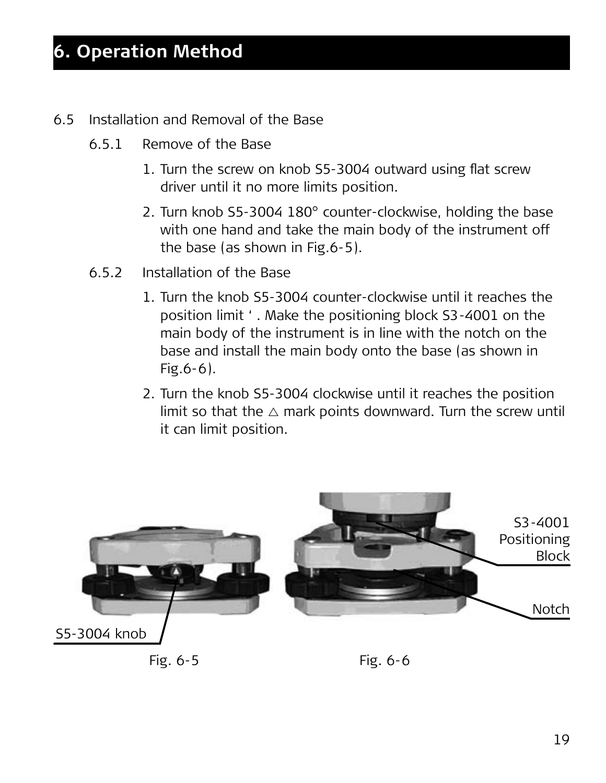- 6.5 Installation and Removal of the Base
	- 6.5.1 Remove of the Base
		- 1. Turn the screw on knob S5-3004 outward using flat screw driver until it no more limits position.
		- 2. Turn knob S5-3004 180° counter-clockwise, holding the base with one hand and take the main body of the instrument off the base (as shown in Fig.6-5).
	- 6.5.2 Installation of the Base
		- 1. Turn the knob S5-3004 counter-clockwise until it reaches the position limit ' . Make the positioning block S3-4001 on the main body of the instrument is in line with the notch on the base and install the main body onto the base (as shown in Fig.6-6).
		- 2. Turn the knob S5-3004 clockwise until it reaches the position limit so that the  $\triangle$  mark points downward. Turn the screw until it can limit position.



Fig. 6-5

Fig. 6-6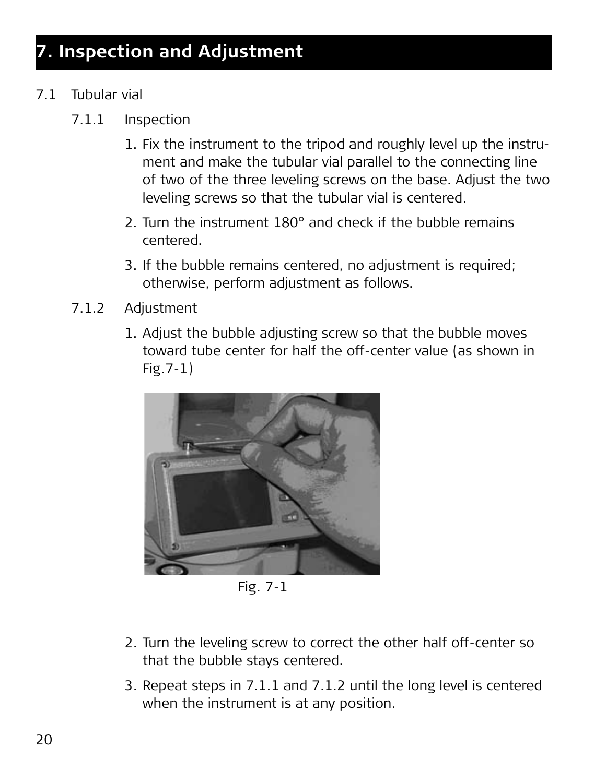- 7.1 Tubular vial
	- 7.1.1 Inspection
		- 1. Fix the instrument to the tripod and roughly level up the instrument and make the tubular vial parallel to the connecting line of two of the three leveling screws on the base. Adjust the two leveling screws so that the tubular vial is centered.
		- 2. Turn the instrument 180° and check if the bubble remains centered.
		- 3. If the bubble remains centered, no adjustment is required; otherwise, perform adjustment as follows.
	- 7.1.2 Adjustment
		- 1. Adjust the bubble adjusting screw so that the bubble moves toward tube center for half the off-center value (as shown in Fig.7-1)



Fig. 7-1

- 2. Turn the leveling screw to correct the other half off-center so that the bubble stays centered.
- 3. Repeat steps in 7.1.1 and 7.1.2 until the long level is centered when the instrument is at any position.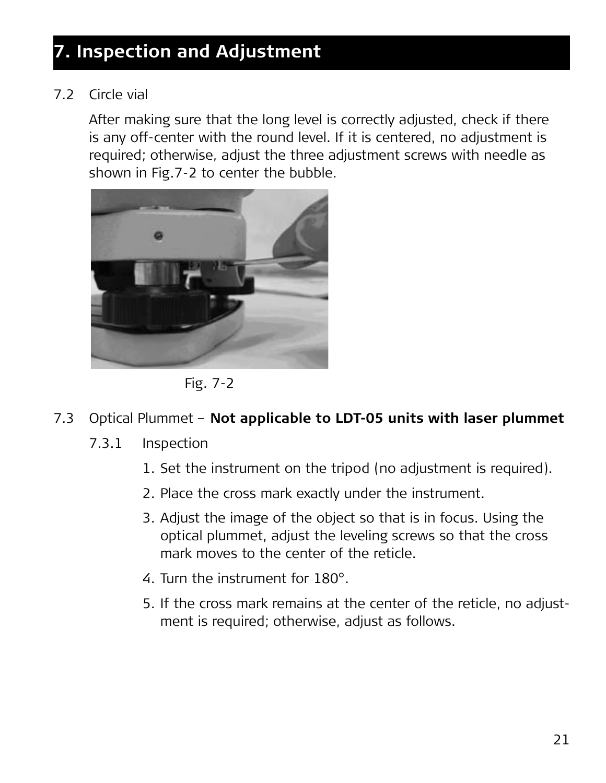#### 7.2 Circle vial

After making sure that the long level is correctly adjusted, check if there is any off-center with the round level. If it is centered, no adjustment is required; otherwise, adjust the three adjustment screws with needle as shown in Fig.7-2 to center the bubble.



Fig. 7-2

#### 7.3 Optical Plummet – **Not applicable to LDT-05 units with laser plummet**

- 7.3.1 Inspection
	- 1. Set the instrument on the tripod (no adjustment is required).
	- 2. Place the cross mark exactly under the instrument.
	- 3. Adjust the image of the object so that is in focus. Using the optical plummet, adjust the leveling screws so that the cross mark moves to the center of the reticle.
	- 4. Turn the instrument for 180°.
	- 5. If the cross mark remains at the center of the reticle, no adjustment is required; otherwise, adjust as follows.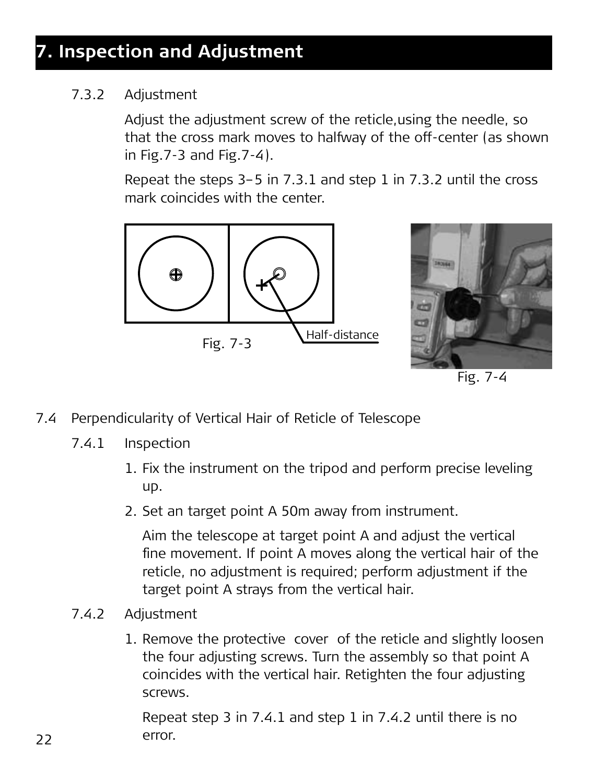#### 7.3.2 Adjustment

 Adjust the adjustment screw of the reticle,using the needle, so that the cross mark moves to halfway of the off-center (as shown in Fig.7-3 and Fig.7-4).

 Repeat the steps 3–5 in 7.3.1 and step 1 in 7.3.2 until the cross mark coincides with the center.





Fig. 7-4

- 7.4 Perpendicularity of Vertical Hair of Reticle of Telescope
	- 7.4.1 Inspection
		- 1. Fix the instrument on the tripod and perform precise leveling up.
		- 2. Set an target point A 50m away from instrument.

 Aim the telescope at target point A and adjust the vertical fine movement. If point A moves along the vertical hair of the reticle, no adjustment is required; perform adjustment if the target point A strays from the vertical hair.

- 7.4.2 Adjustment
	- 1. Remove the protective cover of the reticle and slightly loosen the four adjusting screws. Turn the assembly so that point A coincides with the vertical hair. Retighten the four adjusting screws.

 Repeat step 3 in 7.4.1 and step 1 in 7.4.2 until there is no error.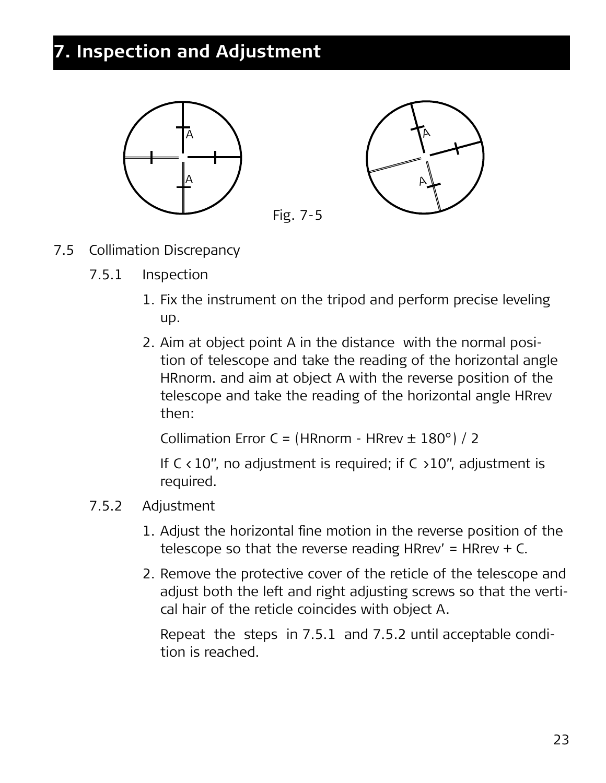

- 7.5 Collimation Discrepancy
	- 7.5.1 Inspection
		- 1. Fix the instrument on the tripod and perform precise leveling up.
		- 2. Aim at object point A in the distance with the normal position of telescope and take the reading of the horizontal angle HRnorm. and aim at object A with the reverse position of the telescope and take the reading of the horizontal angle HRrev then:

Collimation Error C = (HRnorm - HRrev ± 180°) / 2

If  $C < 10$ ", no adjustment is required; if  $C > 10$ ", adjustment is required.

#### 7.5.2 Adjustment

- 1. Adjust the horizontal fine motion in the reverse position of the telescope so that the reverse reading HRrev' = HRrev + C.
- 2. Remove the protective cover of the reticle of the telescope and adjust both the left and right adjusting screws so that the vertical hair of the reticle coincides with object A.

 Repeat the steps in 7.5.1 and 7.5.2 until acceptable condition is reached.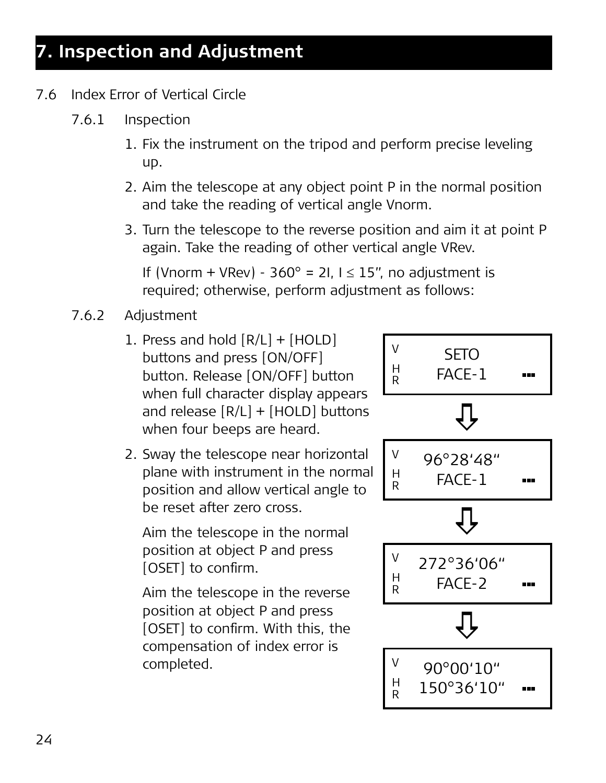- 7.6 Index Error of Vertical Circle
	- 7.6.1 Inspection
		- 1. Fix the instrument on the tripod and perform precise leveling up.
		- 2. Aim the telescope at any object point P in the normal position and take the reading of vertical angle Vnorm.
		- 3. Turn the telescope to the reverse position and aim it at point P again. Take the reading of other vertical angle VRev.

If (Vnorm + VRev) -  $360^\circ$  = 2I,  $1 \le 15$ ", no adjustment is required; otherwise, perform adjustment as follows:

- 7.6.2 Adjustment
	- 1. Press and hold  $[R/L] + [HOLD]$ buttons and press [ON/OFF] button. Release [ON/OFF] button when full character display appears and release [R/L] + [HOLD] buttons when four beeps are heard.
	- 2. Sway the telescope near horizontal plane with instrument in the normal position and allow vertical angle to be reset after zero cross.

 Aim the telescope in the normal position at object P and press [OSET] to confirm.

 Aim the telescope in the reverse position at object P and press [OSET] to confirm. With this, the compensation of index error is completed.

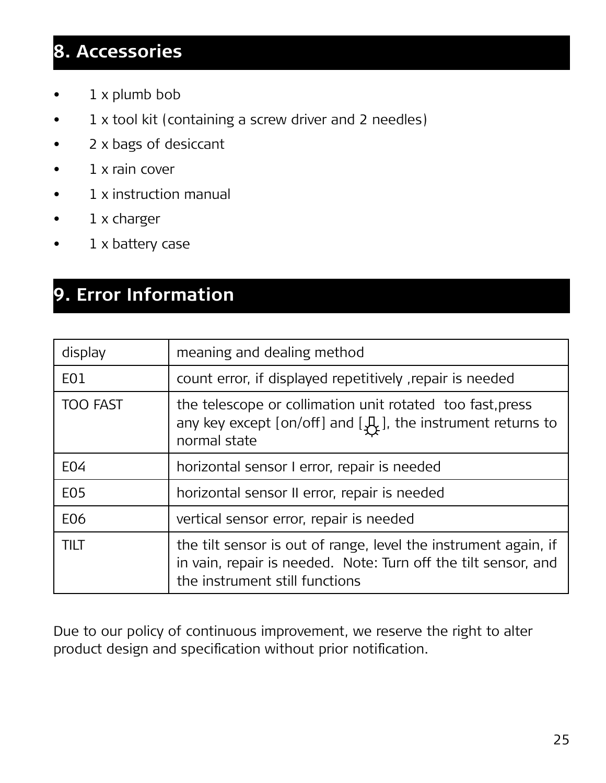## **8. Accessories**

- $1 x$  plumb bob
- $1 \times$  tool kit (containing a screw driver and 2 needles)
- • 2 x bags of desiccant
- 1 x rain cover
- 1 x instruction manual
- • 1 x charger
- 1 x battery case

## **9. Error Information**

| display          | meaning and dealing method                                                                                                                                          |  |
|------------------|---------------------------------------------------------------------------------------------------------------------------------------------------------------------|--|
| E <sub>0</sub> 1 | count error, if displayed repetitively , repair is needed                                                                                                           |  |
| <b>TOO FAST</b>  | the telescope or collimation unit rotated too fast, press<br>any key except [on/off] and $[\mathcal{A}_{\mathcal{F}}]$ , the instrument returns to<br>normal state  |  |
| E04              | horizontal sensor I error, repair is needed                                                                                                                         |  |
| E05              | horizontal sensor II error, repair is needed                                                                                                                        |  |
| E06              | vertical sensor error, repair is needed                                                                                                                             |  |
| <b>TILT</b>      | the tilt sensor is out of range, level the instrument again, if<br>in vain, repair is needed. Note: Turn off the tilt sensor, and<br>the instrument still functions |  |

Due to our policy of continuous improvement, we reserve the right to alter product design and specification without prior notification.